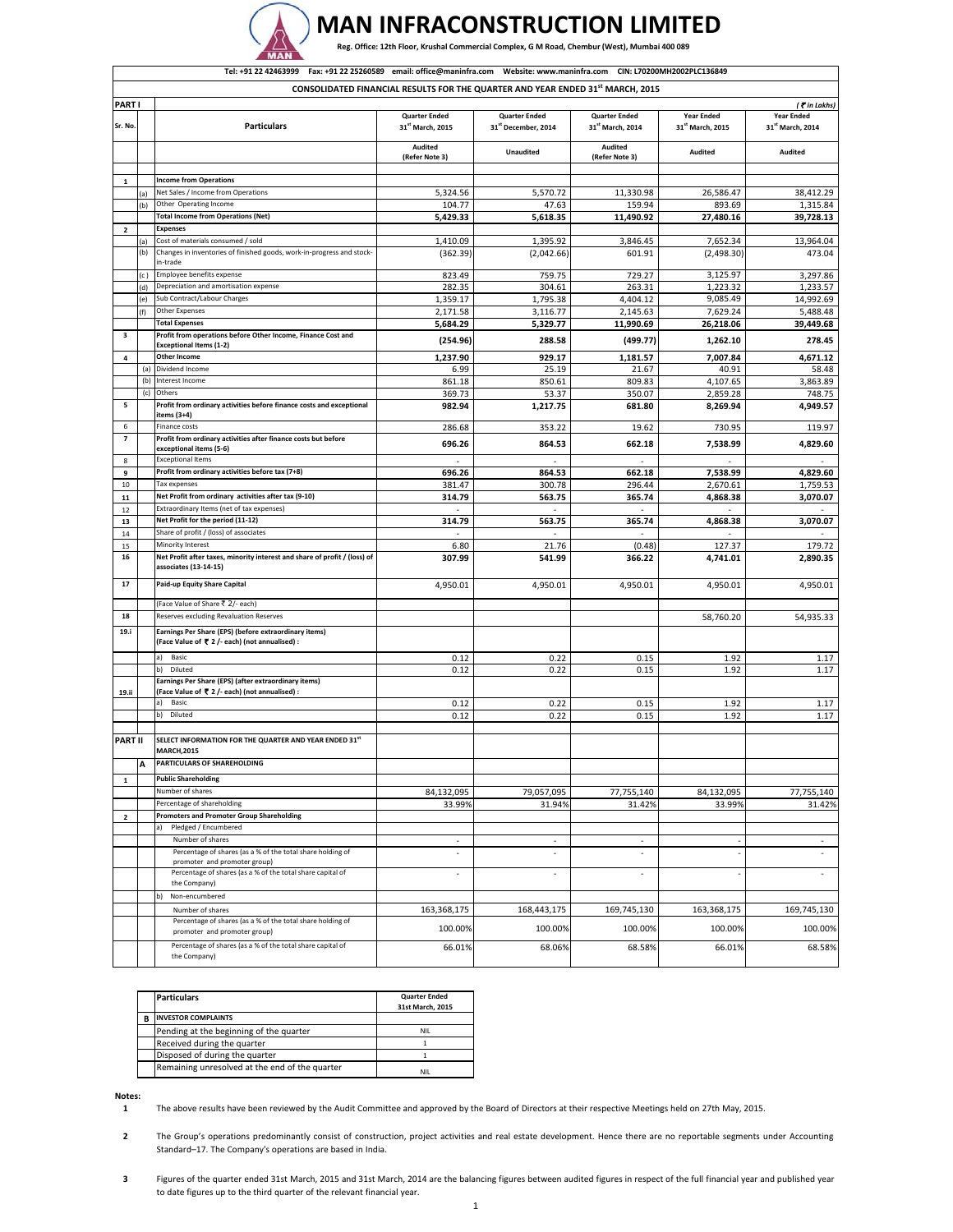

## **MAN INFRACONSTRUCTION LIMITED**

Reg. Office: 12th Floor, Krushal Commercial Complex, G M Road, Chembur (West), Mumbai 400 089

|                               | Website: www.maninfra.com CIN: L70200MH2002PLC136849<br>Tel: +91 22 42463999<br>Fax: +91 22 25260589 email: office@maninfra.com |                                                                                                         |                                                      |                                             |                                          |                                                   |                                       |
|-------------------------------|---------------------------------------------------------------------------------------------------------------------------------|---------------------------------------------------------------------------------------------------------|------------------------------------------------------|---------------------------------------------|------------------------------------------|---------------------------------------------------|---------------------------------------|
|                               | CONSOLIDATED FINANCIAL RESULTS FOR THE QUARTER AND YEAR ENDED 31st MARCH, 2015                                                  |                                                                                                         |                                                      |                                             |                                          |                                                   |                                       |
| <b>PARTI</b>                  |                                                                                                                                 |                                                                                                         |                                                      |                                             |                                          |                                                   | (₹in Lakhs)                           |
| Sr. No.                       |                                                                                                                                 | <b>Particulars</b>                                                                                      | <b>Quarter Ended</b><br>31 <sup>st</sup> March, 2015 | <b>Quarter Ended</b><br>31st December, 2014 | <b>Quarter Ended</b><br>31st March, 2014 | <b>Year Ended</b><br>31 <sup>st</sup> March, 2015 | <b>Year Ended</b><br>31st March, 2014 |
|                               |                                                                                                                                 |                                                                                                         | Audited<br>(Refer Note 3)                            | <b>Unaudited</b>                            | Audited<br>(Refer Note 3)                | Audited                                           | Audited                               |
|                               |                                                                                                                                 | <b>Income from Operations</b>                                                                           |                                                      |                                             |                                          |                                                   |                                       |
| $\mathbf{1}$                  | (a)                                                                                                                             | Net Sales / Income from Operations                                                                      | 5,324.56                                             | 5,570.72                                    | 11,330.98                                | 26,586.47                                         | 38,412.29                             |
|                               | (b)                                                                                                                             | Other Operating Income                                                                                  | 104.77                                               | 47.63                                       | 159.94                                   | 893.69                                            | 1,315.84                              |
|                               |                                                                                                                                 | <b>Total Income from Operations (Net)</b>                                                               | 5,429.33                                             | 5,618.35                                    | 11,490.92                                | 27,480.16                                         | 39,728.13                             |
| $\mathbf{2}$                  |                                                                                                                                 | <b>Expenses</b>                                                                                         |                                                      |                                             |                                          |                                                   |                                       |
|                               | (a)                                                                                                                             | Cost of materials consumed / sold                                                                       | 1,410.09                                             | 1,395.92                                    | 3,846.45                                 | 7,652.34                                          | 13,964.04                             |
|                               | (b)                                                                                                                             | Changes in inventories of finished goods, work-in-progress and stock-<br>in-trade                       | (362.39)                                             | (2,042.66)                                  | 601.91                                   | (2,498.30)                                        | 473.04                                |
|                               | (c)                                                                                                                             | Employee benefits expense                                                                               | 823.49                                               | 759.75                                      | 729.27                                   | 3,125.97                                          | 3,297.86                              |
|                               | (d)                                                                                                                             | Depreciation and amortisation expense                                                                   | 282.35                                               | 304.61                                      | 263.31                                   | 1,223.32                                          | 1,233.57                              |
|                               | (e)                                                                                                                             | Sub Contract/Labour Charges                                                                             | 1,359.17                                             | 1,795.38                                    | 4,404.12                                 | 9,085.49                                          | 14,992.69                             |
|                               | (f)                                                                                                                             | <b>Other Expenses</b>                                                                                   | 2,171.58                                             | 3,116.77                                    | 2,145.63                                 | 7,629.24                                          | 5,488.48                              |
| 3                             |                                                                                                                                 | <b>Total Expenses</b><br>Profit from operations before Other Income, Finance Cost and                   | 5,684.29                                             | 5,329.77                                    | 11,990.69                                | 26,218.06                                         | 39,449.68                             |
|                               |                                                                                                                                 | <b>Exceptional Items (1-2)</b>                                                                          | (254.96)                                             | 288.58                                      | (499.77)                                 | 1,262.10                                          | 278.45                                |
| 4                             |                                                                                                                                 | Other Income                                                                                            | 1,237.90                                             | 929.17                                      | 1,181.57                                 | 7,007.84                                          | 4,671.12                              |
|                               |                                                                                                                                 | (a) Dividend Income                                                                                     | 6.99                                                 | 25.19                                       | 21.67                                    | 40.91                                             | 58.48                                 |
|                               | (b)<br>(c)                                                                                                                      | Interest Income<br>Others                                                                               | 861.18                                               | 850.61                                      | 809.83                                   | 4,107.65                                          | 3,863.89                              |
| 5                             |                                                                                                                                 | Profit from ordinary activities before finance costs and exceptional                                    | 369.73<br>982.94                                     | 53.37<br>1,217.75                           | 350.07<br>681.80                         | 2,859.28<br>8,269.94                              | 748.75<br>4,949.57                    |
|                               |                                                                                                                                 | items (3+4)                                                                                             |                                                      |                                             |                                          |                                                   |                                       |
| 6<br>$\overline{\phantom{a}}$ |                                                                                                                                 | Finance costs                                                                                           | 286.68                                               | 353.22                                      | 19.62                                    | 730.95                                            | 119.97                                |
|                               |                                                                                                                                 | Profit from ordinary activities after finance costs but before<br>exceptional items (5-6)               | 696.26                                               | 864.53                                      | 662.18                                   | 7,538.99                                          | 4,829.60                              |
| 8                             |                                                                                                                                 | <b>Exceptional Items</b>                                                                                | $\sim$                                               | ٠                                           |                                          |                                                   |                                       |
| 9                             |                                                                                                                                 | Profit from ordinary activities before tax (7+8)                                                        | 696.26                                               | 864.53                                      | 662.18                                   | 7,538.99                                          | 4,829.60                              |
| 10                            |                                                                                                                                 | Tax expenses                                                                                            | 381.47                                               | 300.78                                      | 296.44                                   | 2,670.61                                          | 1,759.53                              |
| 11                            |                                                                                                                                 | Net Profit from ordinary activities after tax (9-10)                                                    | 314.79                                               | 563.75                                      | 365.74                                   | 4,868.38                                          | 3,070.07                              |
| 12                            |                                                                                                                                 | Extraordinary Items (net of tax expenses)<br>Net Profit for the period (11-12)                          | ×<br>314.79                                          | ×<br>563.75                                 | ×<br>365.74                              | 4,868.38                                          | 3,070.07                              |
| 13<br>14                      |                                                                                                                                 | Share of profit / (loss) of associates                                                                  |                                                      |                                             |                                          |                                                   |                                       |
| 15                            |                                                                                                                                 | Minority Interest                                                                                       | 6.80                                                 | 21.76                                       | (0.48)                                   | 127.37                                            | 179.72                                |
| 16                            |                                                                                                                                 | Net Profit after taxes, minority interest and share of profit / (loss) of<br>associates (13-14-15)      | 307.99                                               | 541.99                                      | 366.22                                   | 4,741.01                                          | 2,890.35                              |
| 17                            |                                                                                                                                 | Paid-up Equity Share Capital                                                                            | 4,950.01                                             | 4,950.01                                    | 4,950.01                                 | 4,950.01                                          | 4,950.01                              |
|                               |                                                                                                                                 | (Face Value of Share ₹ 2/- each)                                                                        |                                                      |                                             |                                          |                                                   |                                       |
| 18                            |                                                                                                                                 | Reserves excluding Revaluation Reserves                                                                 |                                                      |                                             |                                          | 58,760.20                                         | 54,935.33                             |
| 19.i                          |                                                                                                                                 | Earnings Per Share (EPS) (before extraordinary items)<br>(Face Value of ₹ 2 /- each) (not annualised) : |                                                      |                                             |                                          |                                                   |                                       |
|                               |                                                                                                                                 | a)<br>Basic                                                                                             | 0.12                                                 | 0.22                                        | 0.15                                     | 1.92                                              | 1.17                                  |
|                               |                                                                                                                                 | Diluted<br>b)                                                                                           | 0.12                                                 | 0.22                                        | 0.15                                     | 1.92                                              | 1.17                                  |
| 19.ii                         |                                                                                                                                 | Earnings Per Share (EPS) (after extraordinary items)<br>(Face Value of ₹ 2 /- each) (not annualised) :  |                                                      |                                             |                                          |                                                   |                                       |
|                               |                                                                                                                                 | Basic<br>a)                                                                                             | 0.12                                                 | 0.22                                        | 0.15                                     | 1.92                                              | 1.17                                  |
|                               |                                                                                                                                 | b)<br>Diluted                                                                                           | 0.12                                                 | 0.22                                        | 0.15                                     | 1.92                                              | 1.17                                  |
| <b>PART II</b>                |                                                                                                                                 | SELECT INFORMATION FOR THE QUARTER AND YEAR ENDED 31st<br><b>MARCH,2015</b>                             |                                                      |                                             |                                          |                                                   |                                       |
|                               | A                                                                                                                               | PARTICULARS OF SHAREHOLDING                                                                             |                                                      |                                             |                                          |                                                   |                                       |
| ${\bf 1}$                     |                                                                                                                                 | <b>Public Shareholding</b>                                                                              |                                                      |                                             |                                          |                                                   |                                       |
|                               |                                                                                                                                 | Number of shares                                                                                        | 84,132,095                                           | 79,057,095                                  | 77,755,140                               | 84,132,095                                        | 77,755,140                            |
|                               |                                                                                                                                 | Percentage of shareholding                                                                              | 33.99%                                               | 31.94%                                      | 31.42%                                   | 33.99%                                            | 31.42%                                |
| 2                             |                                                                                                                                 | <b>Promoters and Promoter Group Shareholding</b>                                                        |                                                      |                                             |                                          |                                                   |                                       |
|                               |                                                                                                                                 | Pledged / Encumbered<br>a)                                                                              |                                                      |                                             |                                          |                                                   |                                       |
|                               |                                                                                                                                 | Number of shares<br>Percentage of shares (as a % of the total share holding of                          | $\overline{\phantom{a}}$                             | ٠                                           | ×,                                       |                                                   | ×,                                    |
|                               |                                                                                                                                 | promoter and promoter group)                                                                            |                                                      |                                             |                                          |                                                   |                                       |
|                               |                                                                                                                                 | Percentage of shares (as a % of the total share capital of<br>the Company)<br>b)<br>Non-encumbered      | ٠                                                    | ٠                                           | ×.                                       |                                                   |                                       |
|                               |                                                                                                                                 | Number of shares                                                                                        | 163,368,175                                          | 168,443,175                                 | 169,745,130                              | 163,368,175                                       | 169,745,130                           |
|                               |                                                                                                                                 | Percentage of shares (as a % of the total share holding of                                              |                                                      |                                             |                                          |                                                   |                                       |
|                               |                                                                                                                                 | promoter and promoter group)                                                                            | 100.00%                                              | 100.00%                                     | 100.00%                                  | 100.00%                                           | 100.00%                               |
|                               |                                                                                                                                 | Percentage of shares (as a % of the total share capital of<br>the Company)                              | 66.01%                                               | 68.06%                                      | 68.58%                                   | 66.01%                                            | 68.58%                                |

| <b>Particulars</b>                             | <b>Quarter Ended</b><br>31st March. 2015 |
|------------------------------------------------|------------------------------------------|
| <b>INVESTOR COMPLAINTS</b>                     |                                          |
| Pending at the beginning of the quarter        | NII.                                     |
| Received during the quarter                    |                                          |
| Disposed of during the quarter                 |                                          |
| Remaining unresolved at the end of the quarter | NII                                      |

**Notes:**

**1** The above results have been reviewed by the Audit Committee and approved by the Board of Directors at their respective Meetings held on 27th May, 2015.

**2** The Group's operations predominantly consist of construction, project activities and real estate development. Hence there are no reportable segments under Accounting Standard–17. The Company's operations are based in India.

**3** Figures of the quarter ended 31st March, 2015 and 31st March, 2014 are the balancing figures between audited figures in respect of the full financial year and published year to date figures up to the third quarter of the relevant financial year.